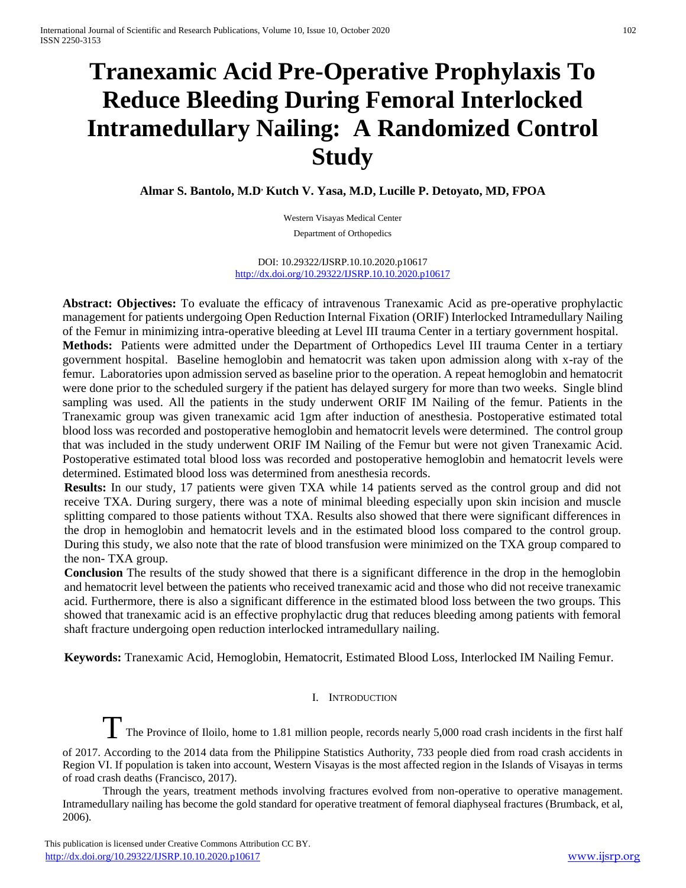# **Tranexamic Acid Pre-Operative Prophylaxis To Reduce Bleeding During Femoral Interlocked Intramedullary Nailing: A Randomized Control Study**

**Almar S. Bantolo, M.D, Kutch V. Yasa, M.D, Lucille P. Detoyato, MD, FPOA**

Western Visayas Medical Center Department of Orthopedics

DOI: 10.29322/IJSRP.10.10.2020.p10617 <http://dx.doi.org/10.29322/IJSRP.10.10.2020.p10617>

**Abstract: Objectives:** To evaluate the efficacy of intravenous Tranexamic Acid as pre-operative prophylactic management for patients undergoing Open Reduction Internal Fixation (ORIF) Interlocked Intramedullary Nailing of the Femur in minimizing intra-operative bleeding at Level III trauma Center in a tertiary government hospital. **Methods:** Patients were admitted under the Department of Orthopedics Level III trauma Center in a tertiary government hospital. Baseline hemoglobin and hematocrit was taken upon admission along with x-ray of the femur. Laboratories upon admission served as baseline prior to the operation. A repeat hemoglobin and hematocrit were done prior to the scheduled surgery if the patient has delayed surgery for more than two weeks. Single blind sampling was used. All the patients in the study underwent ORIF IM Nailing of the femur. Patients in the Tranexamic group was given tranexamic acid 1gm after induction of anesthesia. Postoperative estimated total blood loss was recorded and postoperative hemoglobin and hematocrit levels were determined. The control group that was included in the study underwent ORIF IM Nailing of the Femur but were not given Tranexamic Acid. Postoperative estimated total blood loss was recorded and postoperative hemoglobin and hematocrit levels were determined. Estimated blood loss was determined from anesthesia records.

**Results:** In our study, 17 patients were given TXA while 14 patients served as the control group and did not receive TXA. During surgery, there was a note of minimal bleeding especially upon skin incision and muscle splitting compared to those patients without TXA. Results also showed that there were significant differences in the drop in hemoglobin and hematocrit levels and in the estimated blood loss compared to the control group. During this study, we also note that the rate of blood transfusion were minimized on the TXA group compared to the non- TXA group.

**Conclusion** The results of the study showed that there is a significant difference in the drop in the hemoglobin and hematocrit level between the patients who received tranexamic acid and those who did not receive tranexamic acid. Furthermore, there is also a significant difference in the estimated blood loss between the two groups. This showed that tranexamic acid is an effective prophylactic drug that reduces bleeding among patients with femoral shaft fracture undergoing open reduction interlocked intramedullary nailing.

**Keywords:** Tranexamic Acid, Hemoglobin, Hematocrit, Estimated Blood Loss, Interlocked IM Nailing Femur.

# I. INTRODUCTION

The Province of Iloilo, home to 1.81 million people, records nearly 5,000 road crash incidents in the first half

of 2017. According to the 2014 data from the Philippine Statistics Authority, 733 people died from road crash accidents in Region VI. If population is taken into account, Western Visayas is the most affected region in the Islands of Visayas in terms of road crash deaths (Francisco, 2017).

Through the years, treatment methods involving fractures evolved from non-operative to operative management. Intramedullary nailing has become the gold standard for operative treatment of femoral diaphyseal fractures (Brumback, et al, 2006).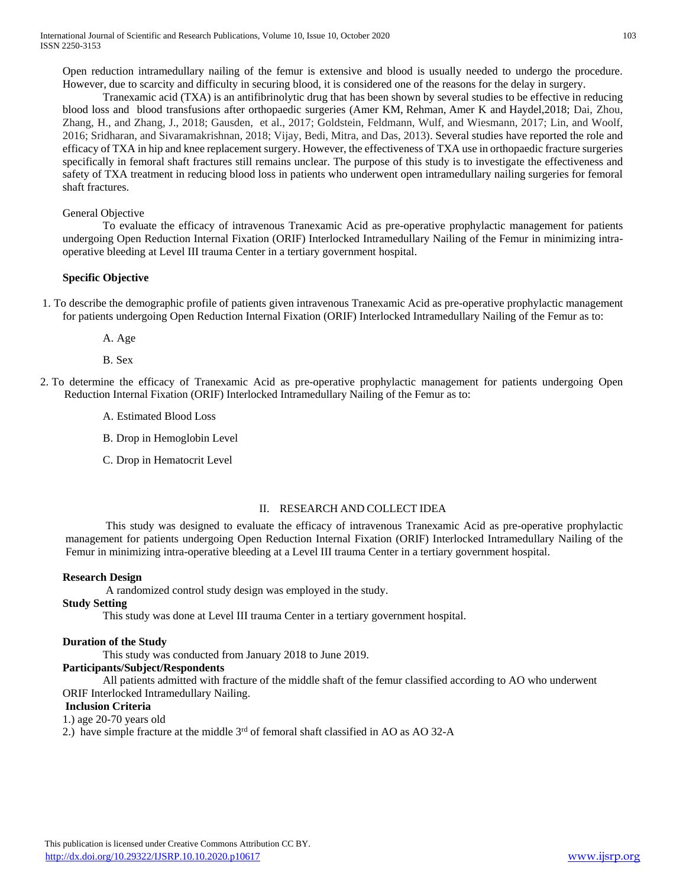Open reduction intramedullary nailing of the femur is extensive and blood is usually needed to undergo the procedure. However, due to scarcity and difficulty in securing blood, it is considered one of the reasons for the delay in surgery.

Tranexamic acid (TXA) is an antifibrinolytic drug that has been shown by several studies to be effective in reducing blood loss and blood transfusions after orthopaedic surgeries [\(Amer KM,](https://www.ncbi.nlm.nih.gov/pubmed/?term=Amer%20KM%5BAuthor%5D&cauthor=true&cauthor_uid=28938282) [Rehman,](https://www.ncbi.nlm.nih.gov/pubmed/?term=Rehman%20S%5BAuthor%5D&cauthor=true&cauthor_uid=28938282) [Amer K](https://www.ncbi.nlm.nih.gov/pubmed/?term=Amer%20K%5BAuthor%5D&cauthor=true&cauthor_uid=28938282) and [Haydel,2](https://www.ncbi.nlm.nih.gov/pubmed/?term=Haydel%20C%5BAuthor%5D&cauthor=true&cauthor_uid=28938282)018; Dai, Zhou, Zhang, H., and Zhang, J., 2018; Gausden, et al., 2017; Goldstein, Feldmann, Wulf, and Wiesmann, 2017; Lin, and Woolf, 2016; Sridharan, and Sivaramakrishnan, 2018; Vijay, Bedi, Mitra, and Das, 2013). Several studies have reported the role and efficacy of TXA in hip and knee replacement surgery. However, the effectiveness of TXA use in orthopaedic fracture surgeries specifically in femoral shaft fractures still remains unclear. The purpose of this study is to investigate the effectiveness and safety of TXA treatment in reducing blood loss in patients who underwent open intramedullary nailing surgeries for femoral shaft fractures.

## General Objective

To evaluate the efficacy of intravenous Tranexamic Acid as pre-operative prophylactic management for patients undergoing Open Reduction Internal Fixation (ORIF) Interlocked Intramedullary Nailing of the Femur in minimizing intraoperative bleeding at Level III trauma Center in a tertiary government hospital.

## **Specific Objective**

- 1. To describe the demographic profile of patients given intravenous Tranexamic Acid as pre-operative prophylactic management for patients undergoing Open Reduction Internal Fixation (ORIF) Interlocked Intramedullary Nailing of the Femur as to:
	- A. Age
	- B. Sex
- 2. To determine the efficacy of Tranexamic Acid as pre-operative prophylactic management for patients undergoing Open Reduction Internal Fixation (ORIF) Interlocked Intramedullary Nailing of the Femur as to:
	- A. Estimated Blood Loss
	- B. Drop in Hemoglobin Level
	- C. Drop in Hematocrit Level

## II. RESEARCH AND COLLECT IDEA

This study was designed to evaluate the efficacy of intravenous Tranexamic Acid as pre-operative prophylactic management for patients undergoing Open Reduction Internal Fixation (ORIF) Interlocked Intramedullary Nailing of the Femur in minimizing intra-operative bleeding at a Level III trauma Center in a tertiary government hospital.

#### **Research Design**

A randomized control study design was employed in the study.

# **Study Setting**

This study was done at Level III trauma Center in a tertiary government hospital.

## **Duration of the Study**

This study was conducted from January 2018 to June 2019.

## **Participants/Subject/Respondents**

All patients admitted with fracture of the middle shaft of the femur classified according to AO who underwent ORIF Interlocked Intramedullary Nailing.

#### **Inclusion Criteria**

1.) age 20-70 years old

2.) have simple fracture at the middle  $3<sup>rd</sup>$  of femoral shaft classified in AO as AO 32-A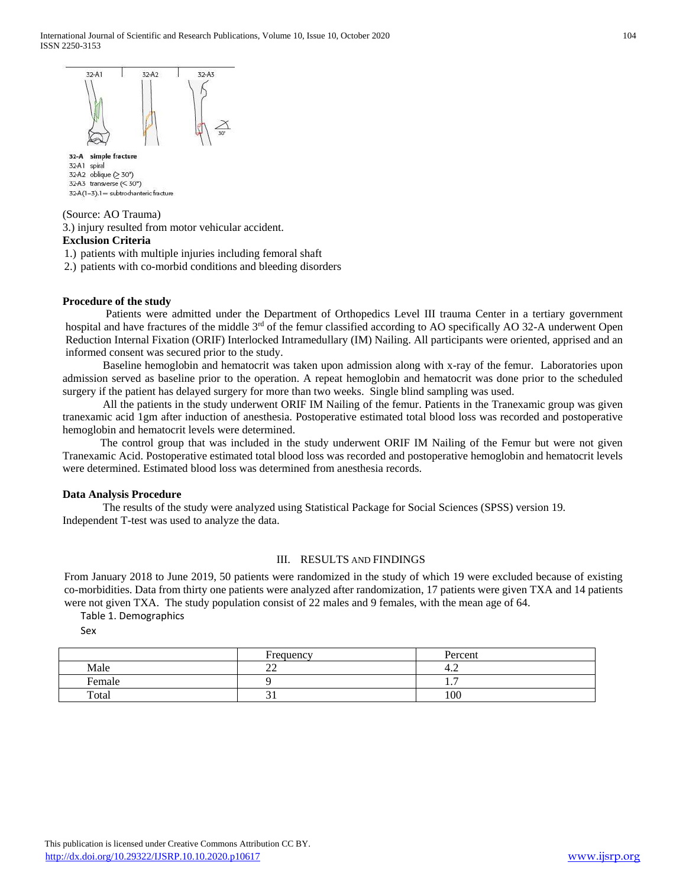

32-A simple fracture 32-A1 spiral 32-A2 oblique (> 30°) 32-A3 transverse  $( $30^{\circ}$ )$ 32-A(1-3).1 = subtrochanteric fracture

#### (Source: AO Trauma)

3.) injury resulted from motor vehicular accident.

# **Exclusion Criteria**

1.) patients with multiple injuries including femoral shaft

2.) patients with co-morbid conditions and bleeding disorders

## **Procedure of the study**

Patients were admitted under the Department of Orthopedics Level III trauma Center in a tertiary government hospital and have fractures of the middle 3<sup>rd</sup> of the femur classified according to AO specifically AO 32-A underwent Open Reduction Internal Fixation (ORIF) Interlocked Intramedullary (IM) Nailing. All participants were oriented, apprised and an informed consent was secured prior to the study.

Baseline hemoglobin and hematocrit was taken upon admission along with x-ray of the femur. Laboratories upon admission served as baseline prior to the operation. A repeat hemoglobin and hematocrit was done prior to the scheduled surgery if the patient has delayed surgery for more than two weeks. Single blind sampling was used.

All the patients in the study underwent ORIF IM Nailing of the femur. Patients in the Tranexamic group was given tranexamic acid 1gm after induction of anesthesia. Postoperative estimated total blood loss was recorded and postoperative hemoglobin and hematocrit levels were determined.

 The control group that was included in the study underwent ORIF IM Nailing of the Femur but were not given Tranexamic Acid. Postoperative estimated total blood loss was recorded and postoperative hemoglobin and hematocrit levels were determined. Estimated blood loss was determined from anesthesia records.

#### **Data Analysis Procedure**

The results of the study were analyzed using Statistical Package for Social Sciences (SPSS) version 19. Independent T-test was used to analyze the data.

# III. RESULTS AND FINDINGS

From January 2018 to June 2019, 50 patients were randomized in the study of which 19 were excluded because of existing co-morbidities. Data from thirty one patients were analyzed after randomization, 17 patients were given TXA and 14 patients were not given TXA. The study population consist of 22 males and 9 females, with the mean age of 64.

Table 1. Demographics

Sex

|        | Frequency    | Percent |
|--------|--------------|---------|
| Male   | $\sim$<br>-- | 4.4     |
| Female |              | .       |
| Total  | ັບ 1         | 100     |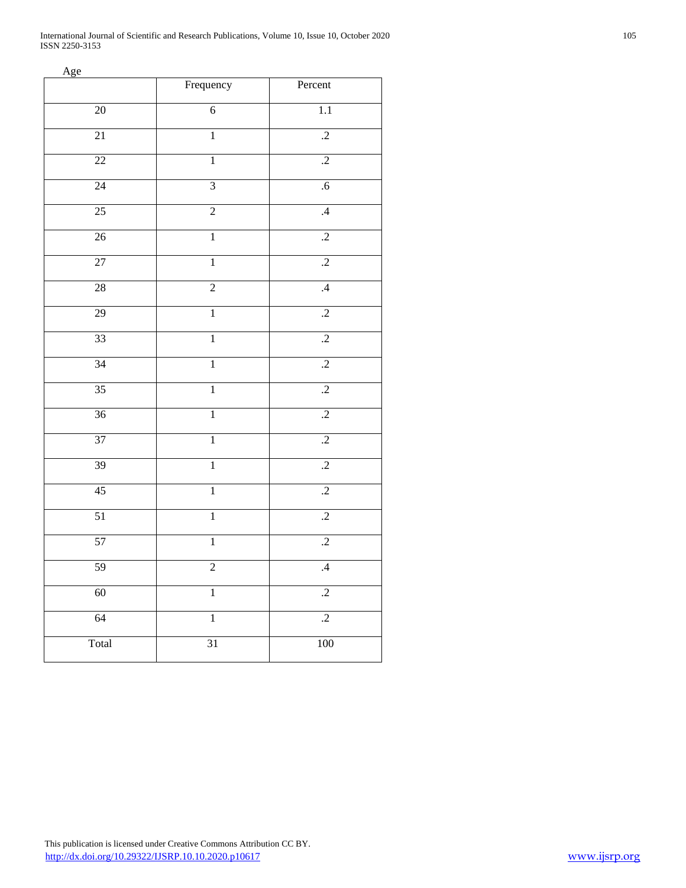International Journal of Scientific and Research Publications, Volume 10, Issue 10, October 2020 105 ISSN 2250-3153

Age

|                 | Frequency      | Percent         |
|-----------------|----------------|-----------------|
| $20\,$          | $\sqrt{6}$     | 1.1             |
| $\overline{21}$ | $\overline{1}$ | $\overline{.2}$ |
| $22\,$          | $\overline{1}$ | $\overline{.2}$ |
| 24              | $\overline{3}$ | $\overline{.6}$ |
| $\overline{25}$ | $\overline{2}$ | $\mathcal{A}$   |
| $26\,$          | $\overline{1}$ | $\cdot$         |
| 27              | $\overline{1}$ | $\overline{.2}$ |
| $28\,$          | $\overline{2}$ | $\overline{.4}$ |
| 29              | $\,1$          | $\overline{.2}$ |
| 33              | $\mathbf 1$    | $\cdot$ .2      |
| 34              | $\overline{1}$ | $\overline{.2}$ |
| 35              | $\overline{1}$ | $\overline{.2}$ |
| 36              | $\overline{1}$ | $\overline{.2}$ |
| $\overline{37}$ | $\,1$          | $\cdot$         |
| 39              | $\overline{1}$ | $\overline{.2}$ |
| 45              | $\mathbf 1$    | $\overline{.2}$ |
| 51              | $\overline{1}$ | $\overline{.2}$ |
| 57              | $\,1$          | $\overline{.2}$ |
| 59              | $\sqrt{2}$     | $\mathcal{A}$   |
| 60              | $\overline{1}$ | $\overline{.2}$ |
| 64              | $\mathbf 1$    | $\overline{.2}$ |
| Total           | 31             | $100\,$         |
|                 |                |                 |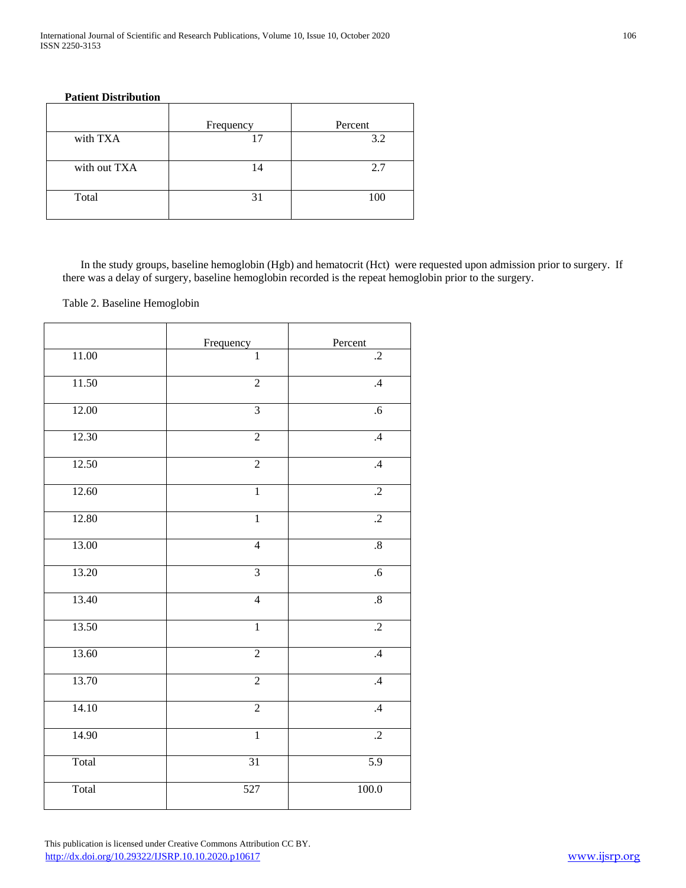## **Patient Distribution**

|              | Frequency | Percent |
|--------------|-----------|---------|
| with TXA     |           | 3.2     |
| with out TXA | 14        | 2.7     |
| Total        |           | 100     |

In the study groups, baseline hemoglobin (Hgb) and hematocrit (Hct) were requested upon admission prior to surgery. If there was a delay of surgery, baseline hemoglobin recorded is the repeat hemoglobin prior to the surgery.

Table 2. Baseline Hemoglobin

|         | Frequency        | Percent         |
|---------|------------------|-----------------|
| $11.00$ | $\mathbf{1}$     | $\cdot$         |
| 11.50   | $\overline{2}$   | $\mathcal{A}$   |
| 12.00   | $\overline{3}$   | .6              |
| 12.30   | $\overline{2}$   | $\overline{.4}$ |
| 12.50   | $\overline{2}$   | $\overline{.4}$ |
| 12.60   | $\overline{1}$   | $\overline{.2}$ |
| 12.80   | $\mathbf{1}$     | $\cdot$         |
| 13.00   | $\overline{4}$   | $.8\,$          |
| 13.20   | $\overline{3}$   | $.6\,$          |
| 13.40   | $\overline{4}$   | $\overline{.8}$ |
| 13.50   | $\overline{1}$   | $\overline{.2}$ |
| 13.60   | $\sqrt{2}$       | $\mathcal{A}$   |
| 13.70   | $\sqrt{2}$       | $\mathcal{A}$   |
| 14.10   | $\overline{2}$   | $\overline{.4}$ |
| 14.90   | $\overline{1}$   | $\overline{.2}$ |
| Total   | 31               | 5.9             |
| Total   | $\overline{527}$ | 100.0           |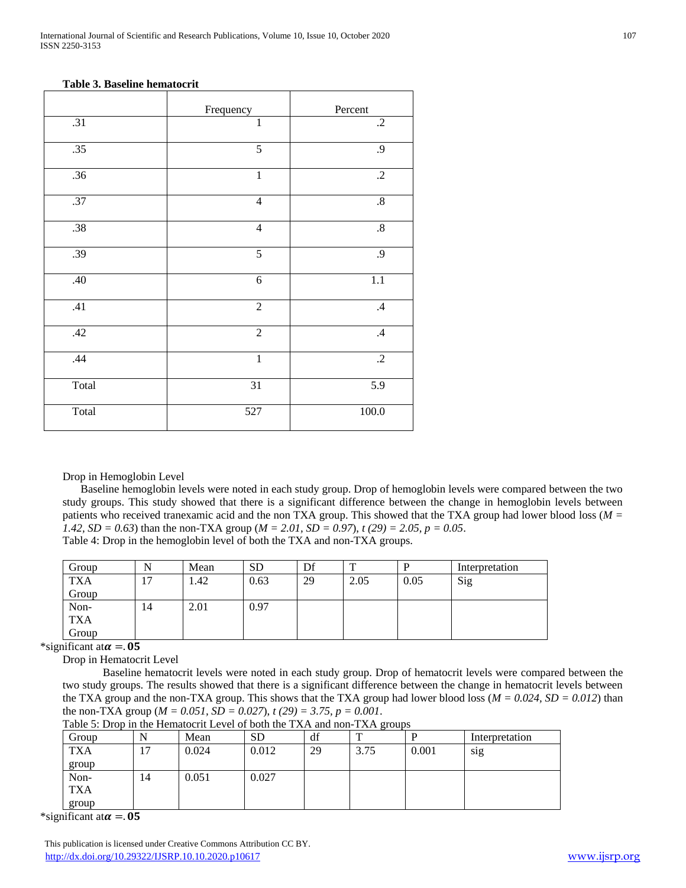## **Table 3. Baseline hematocrit**

|                  | Frequency       | Percent          |
|------------------|-----------------|------------------|
| .31              | $\mathbf{1}$    | $\cdot$ .2       |
| .35              | $\overline{5}$  | .9               |
| .36              | $\mathbf{1}$    | $\cdot$          |
| $\overline{.37}$ | $\overline{4}$  | $.8\,$           |
| .38              | $\overline{4}$  | $.8\,$           |
| .39              | $\overline{5}$  | .9               |
| .40              | $\sqrt{6}$      | 1.1              |
| .41              | $\overline{2}$  | $\mathcal{A}$    |
| .42              | $\overline{2}$  | .4               |
| .44              | $\mathbf{1}$    | $.2\,$           |
| Total            | $\overline{31}$ | $\overline{5.9}$ |
| Total            | 527             | 100.0            |

Drop in Hemoglobin Level

Baseline hemoglobin levels were noted in each study group. Drop of hemoglobin levels were compared between the two study groups. This study showed that there is a significant difference between the change in hemoglobin levels between patients who received tranexamic acid and the non TXA group. This showed that the TXA group had lower blood loss (*M = 1.42, SD = 0.63*) than the non-TXA group (*M = 2.01, SD = 0.97*), *t (29) = 2.05, p = 0.05*. Table 4: Drop in the hemoglobin level of both the TXA and non-TXA groups.

| Group      |                | Mean | <b>SD</b> | Df | m    |      | Interpretation |
|------------|----------------|------|-----------|----|------|------|----------------|
| <b>TXA</b> | $\overline{ }$ | 1.42 | 0.63      | 29 | 2.05 | 0.05 | Sig            |
| Group      |                |      |           |    |      |      |                |
| Non-       | 14             | 2.01 | 0.97      |    |      |      |                |
| <b>TXA</b> |                |      |           |    |      |      |                |
| Group      |                |      |           |    |      |      |                |

\*significant at  $\alpha = 0.05$ 

Drop in Hematocrit Level

Baseline hematocrit levels were noted in each study group. Drop of hematocrit levels were compared between the two study groups. The results showed that there is a significant difference between the change in hematocrit levels between the TXA group and the non-TXA group. This shows that the TXA group had lower blood loss ( $M = 0.024$ ,  $SD = 0.012$ ) than the non-TXA group (*M = 0.051, SD = 0.027*), *t (29) = 3.75, p = 0.001*.

|  |  |  | Table 5: Drop in the Hematocrit Level of both the TXA and non-TXA groups |  |
|--|--|--|--------------------------------------------------------------------------|--|
|--|--|--|--------------------------------------------------------------------------|--|

| Group      | N  | Mean  | <b>SD</b> | df | ັ<br>m |       | Interpretation |
|------------|----|-------|-----------|----|--------|-------|----------------|
| <b>TXA</b> |    | 0.024 | 0.012     | 29 | 3.75   | 0.001 | sig            |
| group      |    |       |           |    |        |       |                |
| Non-       | 14 | 0.051 | 0.027     |    |        |       |                |
| <b>TXA</b> |    |       |           |    |        |       |                |
| group      |    |       |           |    |        |       |                |

\*significant at  $\alpha = 0.05$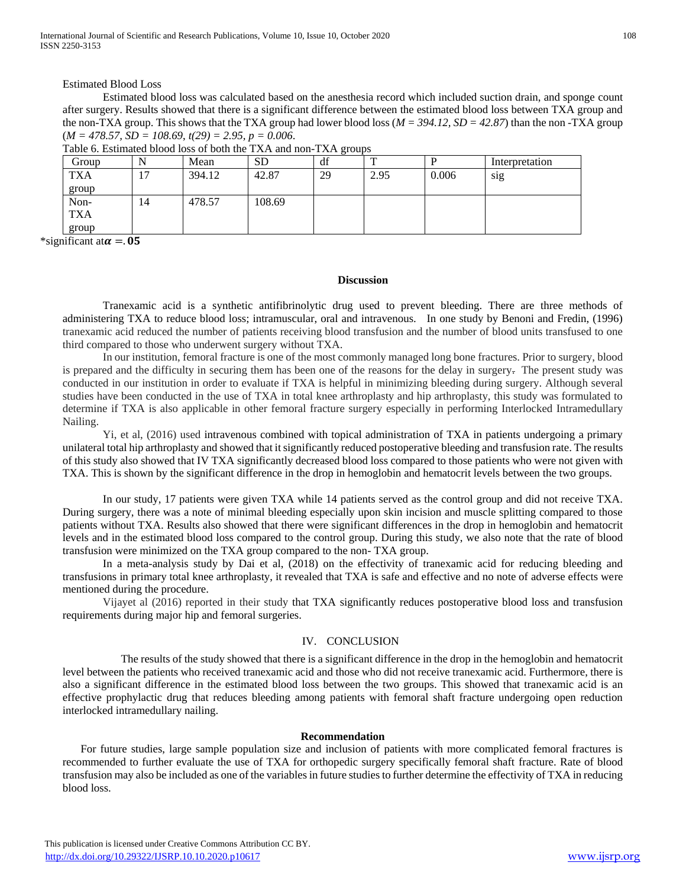International Journal of Scientific and Research Publications, Volume 10, Issue 10, October 2020 108 ISSN 2250-3153

Estimated Blood Loss

Estimated blood loss was calculated based on the anesthesia record which included suction drain, and sponge count after surgery. Results showed that there is a significant difference between the estimated blood loss between TXA group and the non-TXA group. This shows that the TXA group had lower blood loss  $(M = 394.12, SD = 42.87)$  than the non-TXA group  $(M = 478.57, SD = 108.69, t(29) = 2.95, p = 0.006$ .

| Group      |                | Mean   | <b>SD</b> | df |      | D     | Interpretation |
|------------|----------------|--------|-----------|----|------|-------|----------------|
| <b>TXA</b> | $\overline{ }$ | 394.12 | 42.87     | 29 | 2.95 | 0.006 | sig            |
| group      |                |        |           |    |      |       |                |
| Non-       | 14             | 478.57 | 108.69    |    |      |       |                |
| <b>TXA</b> |                |        |           |    |      |       |                |
| group      |                |        |           |    |      |       |                |

Table 6. Estimated blood loss of both the TXA and non-TXA groups

\*significant at  $\alpha = 0.05$ 

#### **Discussion**

Tranexamic acid is a synthetic antifibrinolytic drug used to prevent bleeding. There are three methods of administering TXA to reduce blood loss; intramuscular, oral and intravenous. In one study by Benoni and Fredin, (1996) tranexamic acid reduced the number of patients receiving blood transfusion and the number of blood units transfused to one third compared to those who underwent surgery without TXA.

In our institution, femoral fracture is one of the most commonly managed long bone fractures. Prior to surgery, blood is prepared and the difficulty in securing them has been one of the reasons for the delay in surgery. The present study was conducted in our institution in order to evaluate if TXA is helpful in minimizing bleeding during surgery. Although several studies have been conducted in the use of TXA in total knee arthroplasty and hip arthroplasty, this study was formulated to determine if TXA is also applicable in other femoral fracture surgery especially in performing Interlocked Intramedullary Nailing.

Yi, et al, (2016) used intravenous combined with topical administration of TXA in patients undergoing a primary unilateral total hip arthroplasty and showed that it significantly reduced postoperative bleeding and transfusion rate. The results of this study also showed that IV TXA significantly decreased blood loss compared to those patients who were not given with TXA. This is shown by the significant difference in the drop in hemoglobin and hematocrit levels between the two groups.

In our study, 17 patients were given TXA while 14 patients served as the control group and did not receive TXA. During surgery, there was a note of minimal bleeding especially upon skin incision and muscle splitting compared to those patients without TXA. Results also showed that there were significant differences in the drop in hemoglobin and hematocrit levels and in the estimated blood loss compared to the control group. During this study, we also note that the rate of blood transfusion were minimized on the TXA group compared to the non- TXA group.

In a meta-analysis study by Dai et al, (2018) on the effectivity of tranexamic acid for reducing bleeding and transfusions in primary total knee arthroplasty, it revealed that TXA is safe and effective and no note of adverse effects were mentioned during the procedure.

Vijayet al (2016) reported in their study that TXA significantly reduces postoperative blood loss and transfusion requirements during major hip and femoral surgeries.

# IV. CONCLUSION

The results of the study showed that there is a significant difference in the drop in the hemoglobin and hematocrit level between the patients who received tranexamic acid and those who did not receive tranexamic acid. Furthermore, there is also a significant difference in the estimated blood loss between the two groups. This showed that tranexamic acid is an effective prophylactic drug that reduces bleeding among patients with femoral shaft fracture undergoing open reduction interlocked intramedullary nailing.

#### **Recommendation**

For future studies, large sample population size and inclusion of patients with more complicated femoral fractures is recommended to further evaluate the use of TXA for orthopedic surgery specifically femoral shaft fracture. Rate of blood transfusion may also be included as one of the variables in future studies to further determine the effectivity of TXA in reducing blood loss.